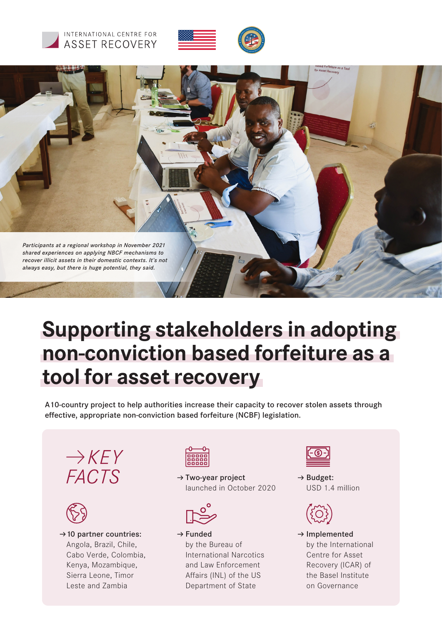





# **Supporting stakeholders in adopting non-conviction based forfeiture as a tool for asset recovery**

A10-country project to help authorities increase their capacity to recover stolen assets through effective, appropriate non-conviction based forfeiture (NCBF) legislation.





 $\rightarrow$  10 partner countries: Angola, Brazil, Chile, Cabo Verde, Colombia, Kenya, Mozambique, Sierra Leone, Timor Leste and Zambia



 $\rightarrow$  Two-year project launched in October 2020



 $\rightarrow$  Funded by the Bureau of International Narcotics and Law Enforcement Affairs (INL) of the US Department of State



 $\rightarrow$  Budget: USD 1.4 million



 $\rightarrow$  Implemented by the International Centre for Asset Recovery (ICAR) of the Basel Institute on Governance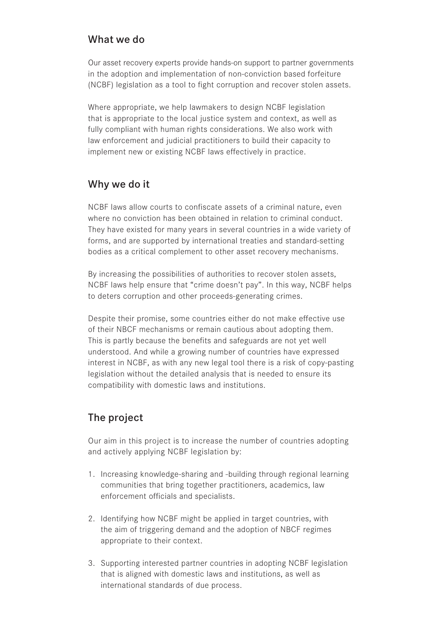#### What we do

Our asset recovery experts provide hands-on support to partner governments in the adoption and implementation of non-conviction based forfeiture (NCBF) legislation as a tool to fight corruption and recover stolen assets.

Where appropriate, we help lawmakers to design NCBF legislation that is appropriate to the local justice system and context, as well as fully compliant with human rights considerations. We also work with law enforcement and judicial practitioners to build their capacity to implement new or existing NCBF laws effectively in practice.

### Why we do it

NCBF laws allow courts to confiscate assets of a criminal nature, even where no conviction has been obtained in relation to criminal conduct. They have existed for many years in several countries in a wide variety of forms, and are supported by international treaties and standard-setting bodies as a critical complement to other asset recovery mechanisms.

By increasing the possibilities of authorities to recover stolen assets, NCBF laws help ensure that "crime doesn't pay". In this way, NCBF helps to deters corruption and other proceeds-generating crimes.

Despite their promise, some countries either do not make effective use of their NBCF mechanisms or remain cautious about adopting them. This is partly because the benefits and safeguards are not yet well understood. And while a growing number of countries have expressed interest in NCBF, as with any new legal tool there is a risk of copy-pasting legislation without the detailed analysis that is needed to ensure its compatibility with domestic laws and institutions.

## The project

Our aim in this project is to increase the number of countries adopting and actively applying NCBF legislation by:

- 1. Increasing knowledge-sharing and -building through regional learning communities that bring together practitioners, academics, law enforcement officials and specialists.
- 2. Identifying how NCBF might be applied in target countries, with the aim of triggering demand and the adoption of NBCF regimes appropriate to their context.
- 3. Supporting interested partner countries in adopting NCBF legislation that is aligned with domestic laws and institutions, as well as international standards of due process.